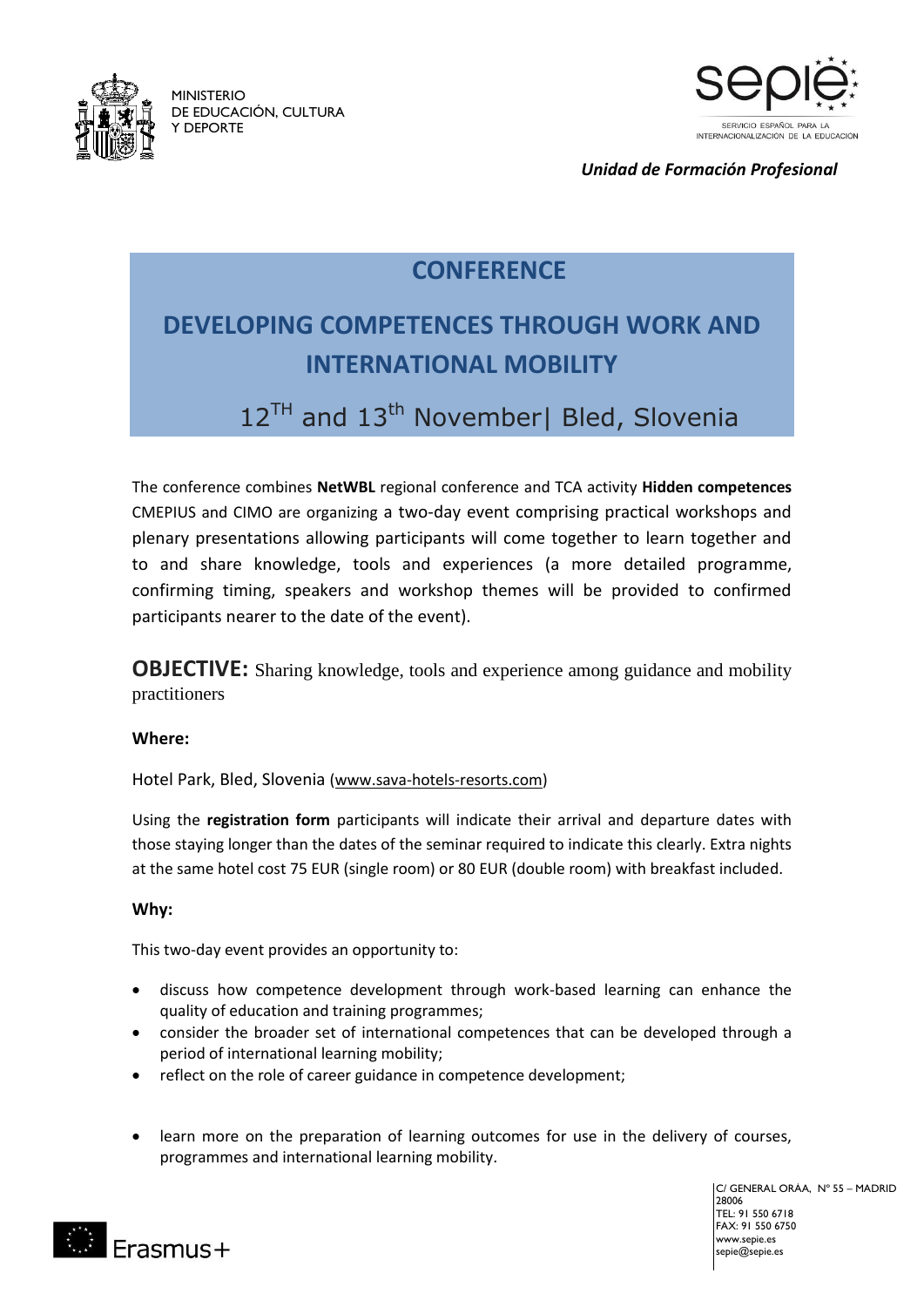

MINISTERIO DE EDUCACIÓN, CULTURA Y DEPORTE



*Unidad de Formación Profesional*

## **CONFERENCE**

## **DEVELOPING COMPETENCES THROUGH WORK AND INTERNATIONAL MOBILITY**

## 12<sup>TH</sup> and 13<sup>th</sup> November| Bled, Slovenia

The conference combines **NetWBL** regional conference and TCA activity **Hidden competences** CMEPIUS and CIMO are organizing a two-day event comprising practical workshops and plenary presentations allowing participants will come together to learn together and to and share knowledge, tools and experiences (a more detailed programme, confirming timing, speakers and workshop themes will be provided to confirmed participants nearer to the date of the event).

**OBJECTIVE:** Sharing knowledge, tools and experience among guidance and mobility practitioners

### **Where:**

Hotel Park, Bled, Slovenia [\(www.sava-hotels-resorts.com\)](http://www.sava-hotels-resorts.com/)

Using the **registration form** participants will indicate their arrival and departure dates with those staying longer than the dates of the seminar required to indicate this clearly. Extra nights at the same hotel cost 75 EUR (single room) or 80 EUR (double room) with breakfast included.

### **Why:**

This two-day event provides an opportunity to:

- discuss how competence development through work-based learning can enhance the quality of education and training programmes;
- consider the broader set of international competences that can be developed through a period of international learning mobility;
- reflect on the role of career guidance in competence development;
- learn more on the preparation of learning outcomes for use in the delivery of courses, programmes and international learning mobility.

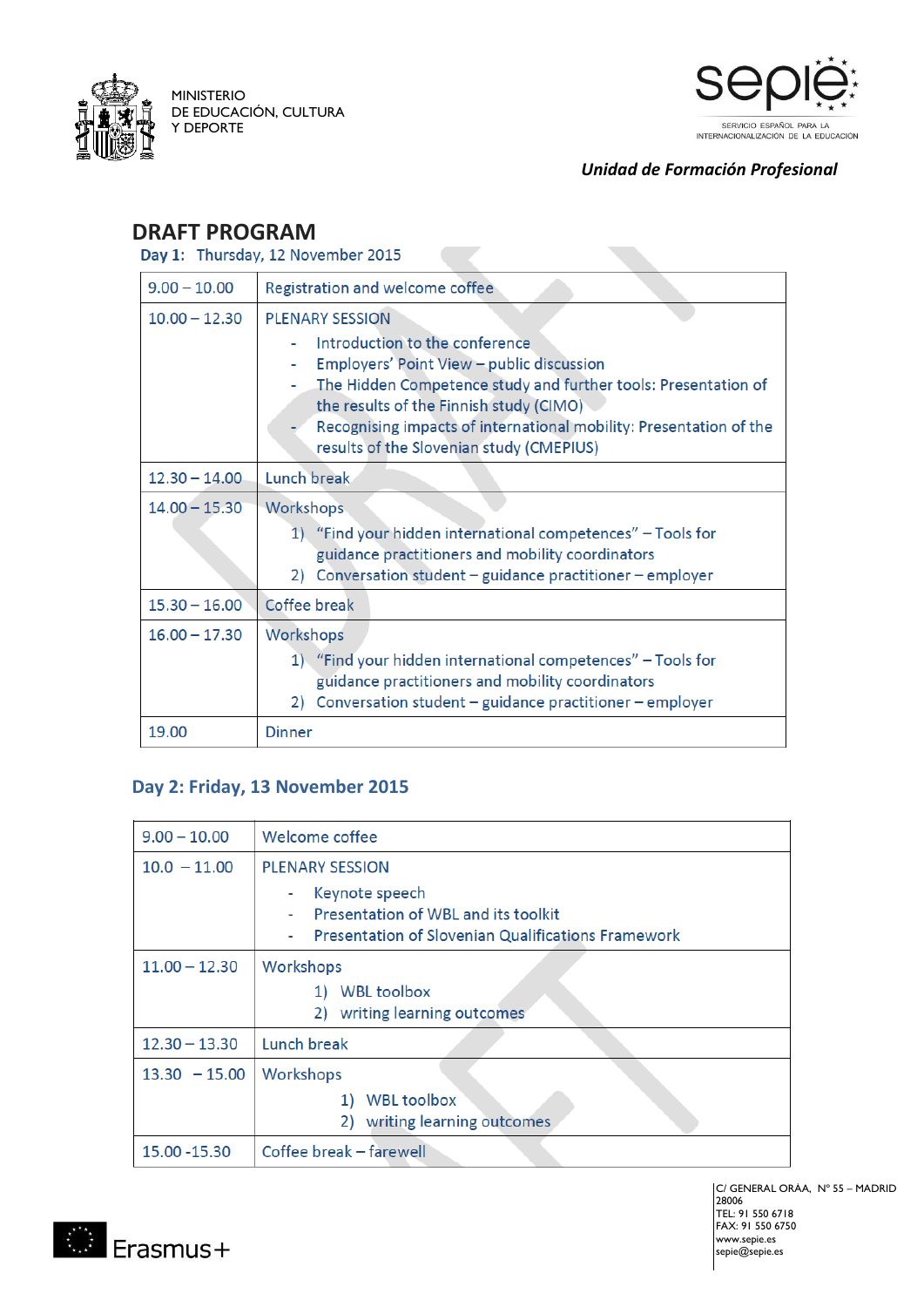

MINISTERIO DE EDUCACIÓN, CULTURA Y DEPORTE



*Unidad de Formación Profesional*

# **DRAFT PROGRAM**<br>Day 1: Thursday, 12 November 2015

| $9.00 - 10.00$  | Registration and welcome coffee                                                                                                                                                                                                                                                                                                      |
|-----------------|--------------------------------------------------------------------------------------------------------------------------------------------------------------------------------------------------------------------------------------------------------------------------------------------------------------------------------------|
| $10.00 - 12.30$ | <b>PLENARY SESSION</b><br>Introduction to the conference<br>Employers' Point View - public discussion<br>The Hidden Competence study and further tools: Presentation of<br>the results of the Finnish study (CIMO)<br>Recognising impacts of international mobility: Presentation of the<br>results of the Slovenian study (CMEPIUS) |
| $12.30 - 14.00$ | Lunch break                                                                                                                                                                                                                                                                                                                          |
| $14.00 - 15.30$ | Workshops<br>1) "Find your hidden international competences" - Tools for<br>guidance practitioners and mobility coordinators<br>Conversation student - guidance practitioner - employer<br>2)                                                                                                                                        |
| $15.30 - 16.00$ | Coffee break                                                                                                                                                                                                                                                                                                                         |
| $16.00 - 17.30$ | Workshops<br>1) "Find your hidden international competences" - Tools for<br>guidance practitioners and mobility coordinators<br>Conversation student - guidance practitioner - employer<br>2)                                                                                                                                        |
| 19.00           | <b>Dinner</b>                                                                                                                                                                                                                                                                                                                        |

### **Day 2: Friday, 13 November 2015**

| $9.00 - 10.00$  | Welcome coffee                                                                                                     |
|-----------------|--------------------------------------------------------------------------------------------------------------------|
| $10.0 - 11.00$  | <b>PLENARY SESSION</b>                                                                                             |
|                 | Keynote speech<br>Presentation of WBL and its toolkit<br><b>Presentation of Slovenian Qualifications Framework</b> |
| $11.00 - 12.30$ | Workshops                                                                                                          |
|                 | <b>WBL toolbox</b><br>1)                                                                                           |
|                 | 2) writing learning outcomes                                                                                       |
| $12.30 - 13.30$ | Lunch break                                                                                                        |
| $13.30 - 15.00$ | Workshops                                                                                                          |
|                 | <b>WBL toolbox</b><br>1)                                                                                           |
|                 | 2) writing learning outcomes                                                                                       |
| 15.00 - 15.30   | Coffee break - farewell                                                                                            |